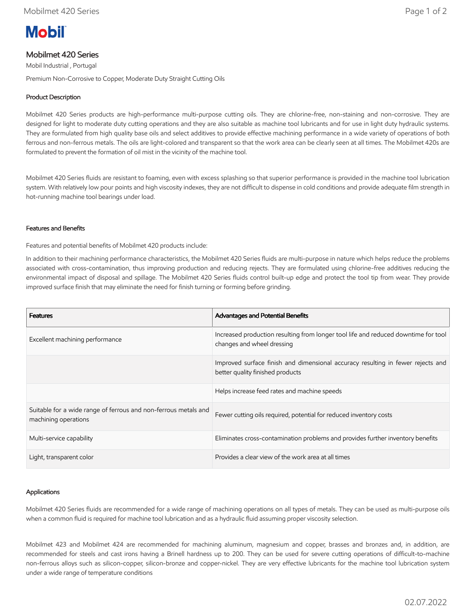# **Mobil**

## Mobilmet 420 Series

Mobil Industrial , Portugal

Premium Non-Corrosive to Copper, Moderate Duty Straight Cutting Oils

## Product Description

Mobilmet 420 Series products are high-performance multi-purpose cutting oils. They are chlorine-free, non-staining and non-corrosive. They are designed for light to moderate duty cutting operations and they are also suitable as machine tool lubricants and for use in light duty hydraulic systems. They are formulated from high quality base oils and select additives to provide effective machining performance in a wide variety of operations of both ferrous and non-ferrous metals. The oils are light-colored and transparent so that the work area can be clearly seen at all times. The Mobilmet 420s are formulated to prevent the formation of oil mist in the vicinity of the machine tool.

Mobilmet 420 Series fluids are resistant to foaming, even with excess splashing so that superior performance is provided in the machine tool lubrication system. With relatively low pour points and high viscosity indexes, they are not difficult to dispense in cold conditions and provide adequate film strength in hot-running machine tool bearings under load.

#### Features and Benefits

Features and potential benefits of Mobilmet 420 products include:

In addition to their machining performance characteristics, the Mobilmet 420 Series fluids are multi-purpose in nature which helps reduce the problems associated with cross-contamination, thus improving production and reducing rejects. They are formulated using chlorine-free additives reducing the environmental impact of disposal and spillage. The Mobilmet 420 Series fluids control built-up edge and protect the tool tip from wear. They provide improved surface finish that may eliminate the need for finish turning or forming before grinding.

| <b>Features</b>                                                                         | <b>Advantages and Potential Benefits</b>                                                                            |
|-----------------------------------------------------------------------------------------|---------------------------------------------------------------------------------------------------------------------|
| Excellent machining performance                                                         | Increased production resulting from longer tool life and reduced downtime for tool<br>changes and wheel dressing    |
|                                                                                         | Improved surface finish and dimensional accuracy resulting in fewer rejects and<br>better quality finished products |
|                                                                                         | Helps increase feed rates and machine speeds                                                                        |
| Suitable for a wide range of ferrous and non-ferrous metals and<br>machining operations | Fewer cutting oils required, potential for reduced inventory costs                                                  |
| Multi-service capability                                                                | Eliminates cross-contamination problems and provides further inventory benefits                                     |
| Light, transparent color                                                                | Provides a clear view of the work area at all times                                                                 |

## Applications

Mobilmet 420 Series fluids are recommended for a wide range of machining operations on all types of metals. They can be used as multi-purpose oils when a common fluid is required for machine tool lubrication and as a hydraulic fluid assuming proper viscosity selection.

Mobilmet 423 and Mobilmet 424 are recommended for machining aluminum, magnesium and copper, brasses and bronzes and, in addition, are recommended for steels and cast irons having a Brinell hardness up to 200. They can be used for severe cutting operations of difficult-to-machine non-ferrous alloys such as silicon-copper, silicon-bronze and copper-nickel. They are very effective lubricants for the machine tool lubrication system under a wide range of temperature conditions